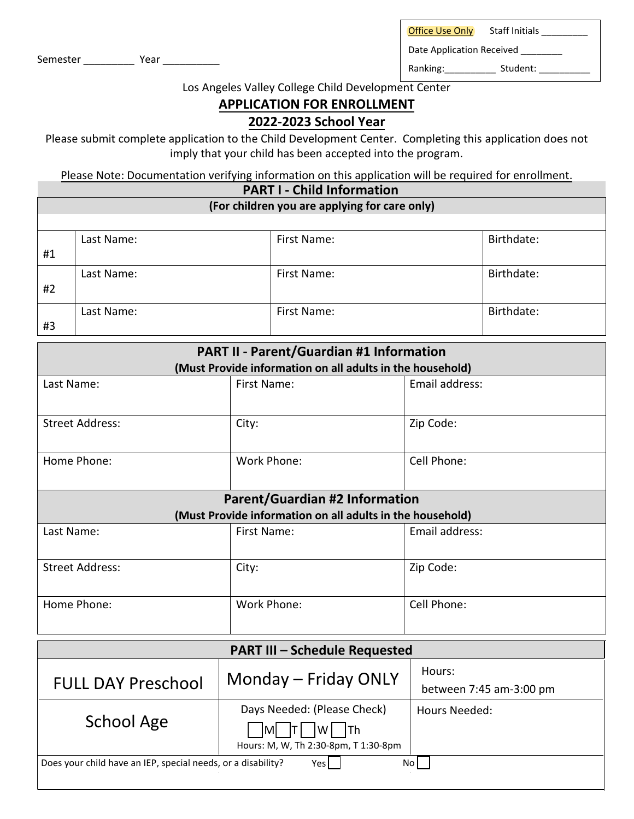Office Use Only Staff Initials

Semester \_\_\_\_\_\_\_\_\_\_\_\_\_ Year \_\_\_\_\_\_\_\_\_\_\_\_\_

Date Application Received \_\_\_\_\_\_\_\_

Ranking: \_\_\_\_\_\_\_\_\_\_\_ Student: \_\_\_\_\_\_\_\_\_\_

Los Angeles Valley College Child Development Center

## **APPLICATION FOR ENROLLMENT**

## **2022-2023 School Year**

Please submit complete application to the Child Development Center. Completing this application does not imply that your child has been accepted into the program.

Please Note: Documentation verifying information on this application will be required for enrollment.

## **PART I - Child Information (For children you are applying for care only)** #1 Last Name: Last Name:  $\vert$  First Name: Last Name: First Name: and Birthdate: Birthdate: Birthdate: #2 Last Name:  $\vert$  First Name:  $\vert$  Birthdat #3

| <b>PART II - Parent/Guardian #1 Information</b>           |             |                |  |  |  |  |
|-----------------------------------------------------------|-------------|----------------|--|--|--|--|
| (Must Provide information on all adults in the household) |             |                |  |  |  |  |
| Last Name:                                                | First Name: | Email address: |  |  |  |  |
| <b>Street Address:</b>                                    | City:       | Zip Code:      |  |  |  |  |
| Home Phone:                                               | Work Phone: | Cell Phone:    |  |  |  |  |
| <b>Parent/Guardian #2 Information</b>                     |             |                |  |  |  |  |
| (Must Provide information on all adults in the household) |             |                |  |  |  |  |
| Last Name:                                                | First Name: | Email address: |  |  |  |  |
| <b>Street Address:</b>                                    | City:       | Zip Code:      |  |  |  |  |
| Home Phone:                                               | Work Phone: | Cell Phone:    |  |  |  |  |

| <b>PART III - Schedule Requested</b>                                         |                                                           |                                   |  |  |  |  |
|------------------------------------------------------------------------------|-----------------------------------------------------------|-----------------------------------|--|--|--|--|
| <b>FULL DAY Preschool</b>                                                    | Monday - Friday ONLY                                      | Hours:<br>between 7:45 am-3:00 pm |  |  |  |  |
| School Age                                                                   | Days Needed: (Please Check)<br><b>ITh</b><br>IMI<br>l W I | Hours Needed:                     |  |  |  |  |
|                                                                              | Hours: M, W, Th 2:30-8pm, T 1:30-8pm                      |                                   |  |  |  |  |
| Does your child have an IEP, special needs, or a disability?<br>No l<br>Yesl |                                                           |                                   |  |  |  |  |